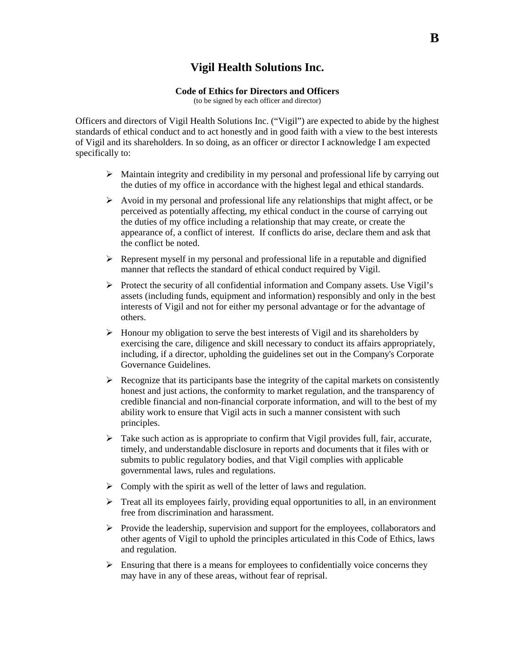## **Vigil Health Solutions Inc.**

## **Code of Ethics for Directors and Officers**

(to be signed by each officer and director)

Officers and directors of Vigil Health Solutions Inc. ("Vigil") are expected to abide by the highest standards of ethical conduct and to act honestly and in good faith with a view to the best interests of Vigil and its shareholders. In so doing, as an officer or director I acknowledge I am expected specifically to:

- $\triangleright$  Maintain integrity and credibility in my personal and professional life by carrying out the duties of my office in accordance with the highest legal and ethical standards.
- $\triangleright$  Avoid in my personal and professional life any relationships that might affect, or be perceived as potentially affecting, my ethical conduct in the course of carrying out the duties of my office including a relationship that may create, or create the appearance of, a conflict of interest. If conflicts do arise, declare them and ask that the conflict be noted.
- $\triangleright$  Represent myself in my personal and professional life in a reputable and dignified manner that reflects the standard of ethical conduct required by Vigil.
- $\triangleright$  Protect the security of all confidential information and Company assets. Use Vigil's assets (including funds, equipment and information) responsibly and only in the best interests of Vigil and not for either my personal advantage or for the advantage of others.
- $\triangleright$  Honour my obligation to serve the best interests of Vigil and its shareholders by exercising the care, diligence and skill necessary to conduct its affairs appropriately, including, if a director, upholding the guidelines set out in the Company's Corporate Governance Guidelines.
- $\triangleright$  Recognize that its participants base the integrity of the capital markets on consistently honest and just actions, the conformity to market regulation, and the transparency of credible financial and non-financial corporate information, and will to the best of my ability work to ensure that Vigil acts in such a manner consistent with such principles.
- $\triangleright$  Take such action as is appropriate to confirm that Vigil provides full, fair, accurate, timely, and understandable disclosure in reports and documents that it files with or submits to public regulatory bodies, and that Vigil complies with applicable governmental laws, rules and regulations.
- $\triangleright$  Comply with the spirit as well of the letter of laws and regulation.
- $\triangleright$  Treat all its employees fairly, providing equal opportunities to all, in an environment free from discrimination and harassment.
- $\triangleright$  Provide the leadership, supervision and support for the employees, collaborators and other agents of Vigil to uphold the principles articulated in this Code of Ethics, laws and regulation.
- $\triangleright$  Ensuring that there is a means for employees to confidentially voice concerns they may have in any of these areas, without fear of reprisal.